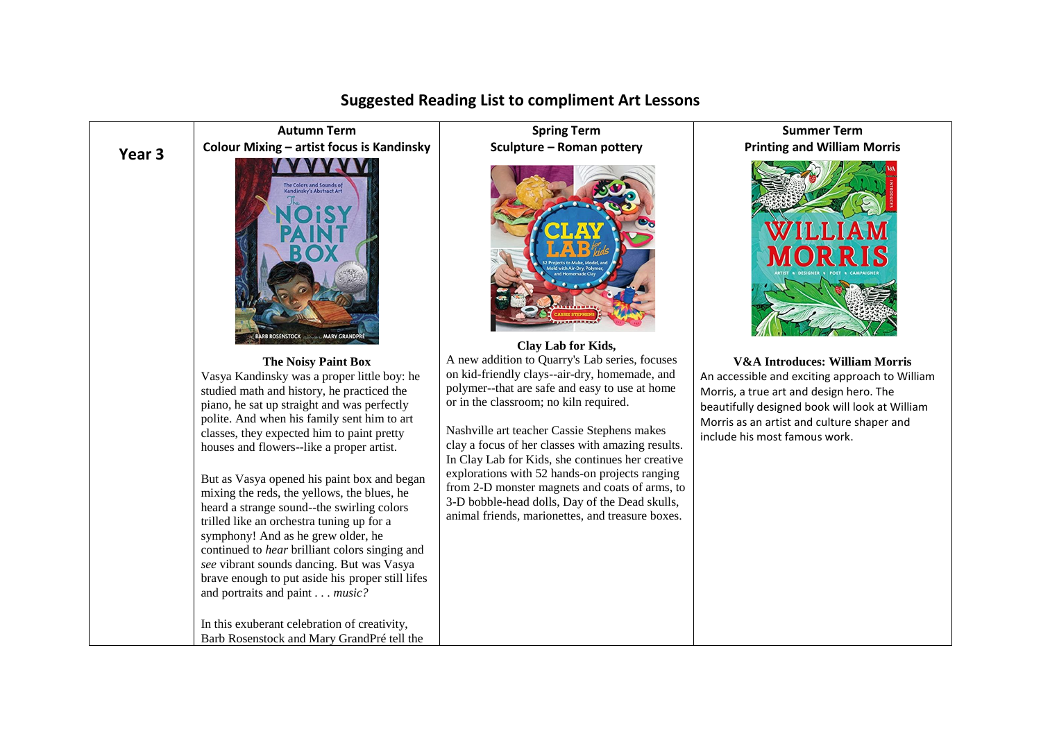

## **Suggested Reading List to compliment Art Lessons**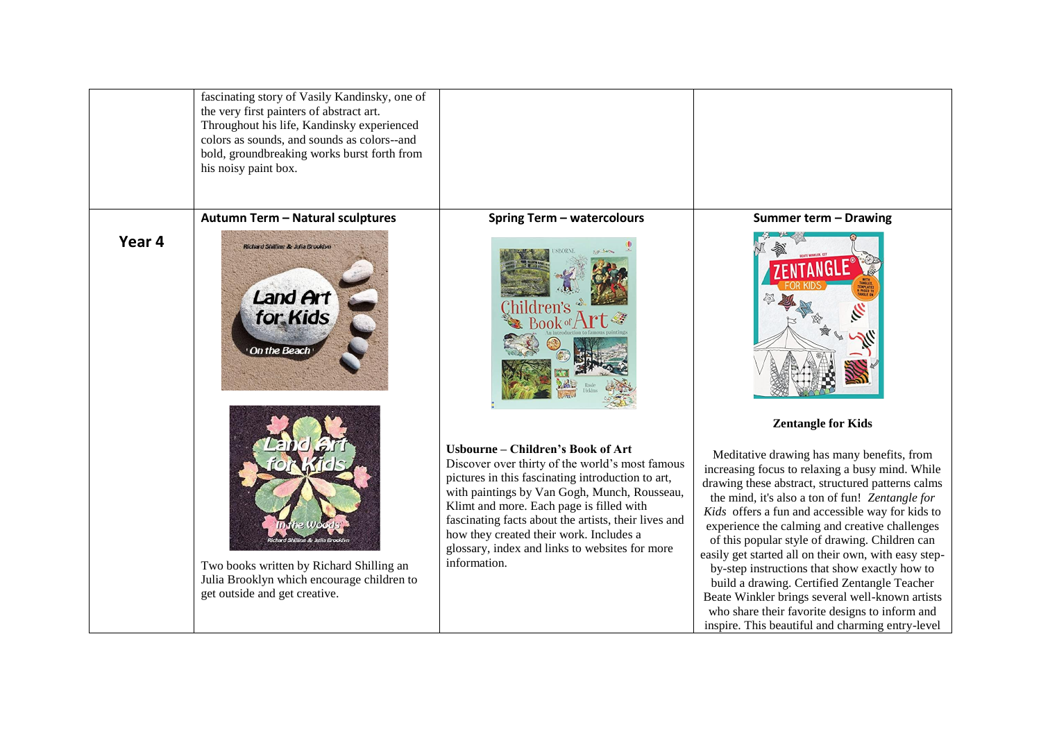|        | fascinating story of Vasily Kandinsky, one of<br>the very first painters of abstract art.<br>Throughout his life, Kandinsky experienced<br>colors as sounds, and sounds as colors--and<br>bold, groundbreaking works burst forth from<br>his noisy paint box. |                                                                                                                                                                                                                                                                                                                                                                                                            |                                                                                                                                                                                                                                                                                                                                                                                                                                                                                                                                                                                                                                                                                 |
|--------|---------------------------------------------------------------------------------------------------------------------------------------------------------------------------------------------------------------------------------------------------------------|------------------------------------------------------------------------------------------------------------------------------------------------------------------------------------------------------------------------------------------------------------------------------------------------------------------------------------------------------------------------------------------------------------|---------------------------------------------------------------------------------------------------------------------------------------------------------------------------------------------------------------------------------------------------------------------------------------------------------------------------------------------------------------------------------------------------------------------------------------------------------------------------------------------------------------------------------------------------------------------------------------------------------------------------------------------------------------------------------|
|        | Autumn Term - Natural sculptures                                                                                                                                                                                                                              | <b>Spring Term - watercolours</b>                                                                                                                                                                                                                                                                                                                                                                          | Summer term - Drawing                                                                                                                                                                                                                                                                                                                                                                                                                                                                                                                                                                                                                                                           |
| Year 4 | Richard Shilling & Julia Brooklyn<br><b>Land Art</b><br>for Kids<br>On the Beach                                                                                                                                                                              |                                                                                                                                                                                                                                                                                                                                                                                                            |                                                                                                                                                                                                                                                                                                                                                                                                                                                                                                                                                                                                                                                                                 |
|        |                                                                                                                                                                                                                                                               |                                                                                                                                                                                                                                                                                                                                                                                                            | <b>Zentangle for Kids</b>                                                                                                                                                                                                                                                                                                                                                                                                                                                                                                                                                                                                                                                       |
|        | i Shilling & Julia Brookly<br>Two books written by Richard Shilling an<br>Julia Brooklyn which encourage children to<br>get outside and get creative.                                                                                                         | Usbourne - Children's Book of Art<br>Discover over thirty of the world's most famous<br>pictures in this fascinating introduction to art,<br>with paintings by Van Gogh, Munch, Rousseau,<br>Klimt and more. Each page is filled with<br>fascinating facts about the artists, their lives and<br>how they created their work. Includes a<br>glossary, index and links to websites for more<br>information. | Meditative drawing has many benefits, from<br>increasing focus to relaxing a busy mind. While<br>drawing these abstract, structured patterns calms<br>the mind, it's also a ton of fun! Zentangle for<br>Kids offers a fun and accessible way for kids to<br>experience the calming and creative challenges<br>of this popular style of drawing. Children can<br>easily get started all on their own, with easy step-<br>by-step instructions that show exactly how to<br>build a drawing. Certified Zentangle Teacher<br>Beate Winkler brings several well-known artists<br>who share their favorite designs to inform and<br>inspire. This beautiful and charming entry-level |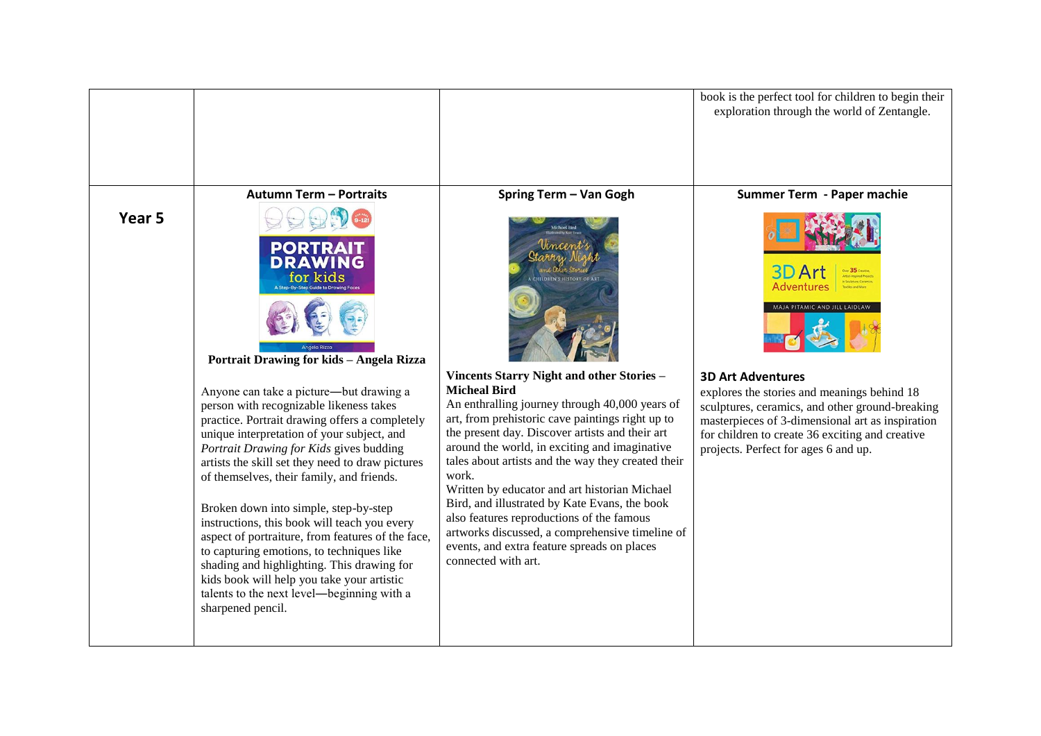|                   |                                                                                                                                                                                                                                                                                                                                                                                                                                                                                                                                                                                                  |                                                                                                                                                                                                                                                                                                                                                                                                                                                                                                                                                                                            | book is the perfect tool for children to begin their<br>exploration through the world of Zentangle.                                                                                                                                                                                                                              |
|-------------------|--------------------------------------------------------------------------------------------------------------------------------------------------------------------------------------------------------------------------------------------------------------------------------------------------------------------------------------------------------------------------------------------------------------------------------------------------------------------------------------------------------------------------------------------------------------------------------------------------|--------------------------------------------------------------------------------------------------------------------------------------------------------------------------------------------------------------------------------------------------------------------------------------------------------------------------------------------------------------------------------------------------------------------------------------------------------------------------------------------------------------------------------------------------------------------------------------------|----------------------------------------------------------------------------------------------------------------------------------------------------------------------------------------------------------------------------------------------------------------------------------------------------------------------------------|
|                   | <b>Autumn Term - Portraits</b>                                                                                                                                                                                                                                                                                                                                                                                                                                                                                                                                                                   | Spring Term - Van Gogh                                                                                                                                                                                                                                                                                                                                                                                                                                                                                                                                                                     | Summer Term - Paper machie                                                                                                                                                                                                                                                                                                       |
| Year <sub>5</sub> | <b>PORT</b><br>for kids<br>Portrait Drawing for kids - Angela Rizza<br>Anyone can take a picture—but drawing a<br>person with recognizable likeness takes<br>practice. Portrait drawing offers a completely<br>unique interpretation of your subject, and<br>Portrait Drawing for Kids gives budding<br>artists the skill set they need to draw pictures<br>of themselves, their family, and friends.<br>Broken down into simple, step-by-step<br>instructions, this book will teach you every<br>aspect of portraiture, from features of the face,<br>to capturing emotions, to techniques like | Vincents Starry Night and other Stories -<br><b>Micheal Bird</b><br>An enthralling journey through 40,000 years of<br>art, from prehistoric cave paintings right up to<br>the present day. Discover artists and their art<br>around the world, in exciting and imaginative<br>tales about artists and the way they created their<br>work.<br>Written by educator and art historian Michael<br>Bird, and illustrated by Kate Evans, the book<br>also features reproductions of the famous<br>artworks discussed, a comprehensive timeline of<br>events, and extra feature spreads on places | 3D Ar<br>Adventure<br>MAJA PITAMIC AND JILL LAIDLAW<br><b>3D Art Adventures</b><br>explores the stories and meanings behind 18<br>sculptures, ceramics, and other ground-breaking<br>masterpieces of 3-dimensional art as inspiration<br>for children to create 36 exciting and creative<br>projects. Perfect for ages 6 and up. |
|                   | shading and highlighting. This drawing for<br>kids book will help you take your artistic<br>talents to the next level-beginning with a<br>sharpened pencil.                                                                                                                                                                                                                                                                                                                                                                                                                                      | connected with art.                                                                                                                                                                                                                                                                                                                                                                                                                                                                                                                                                                        |                                                                                                                                                                                                                                                                                                                                  |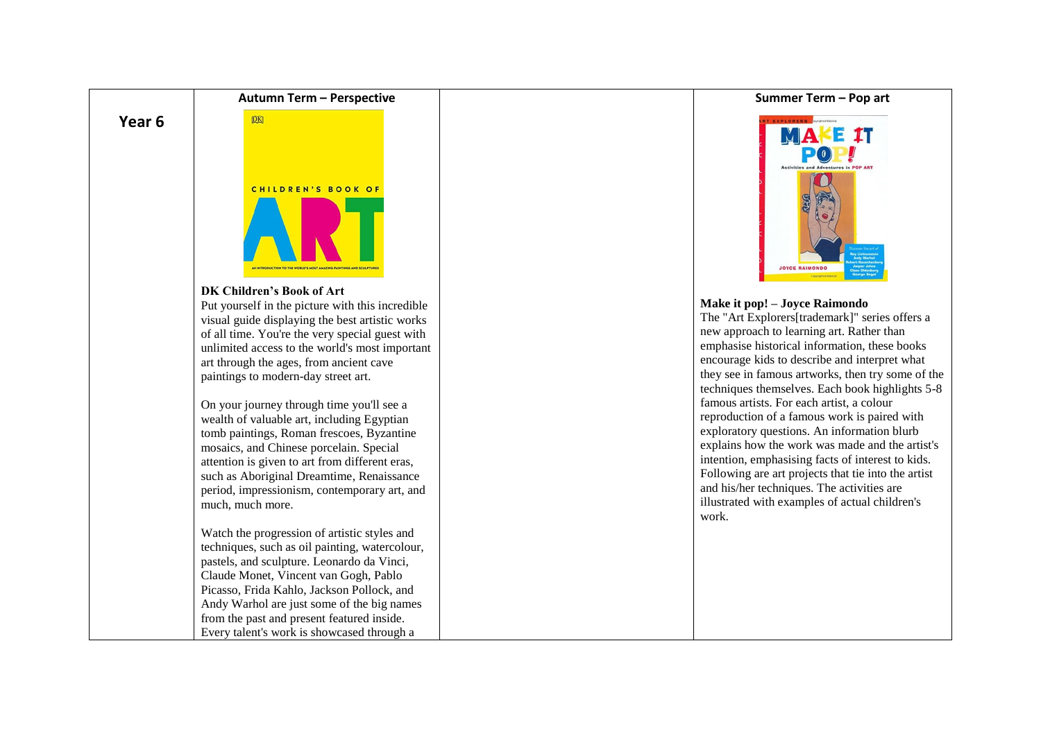